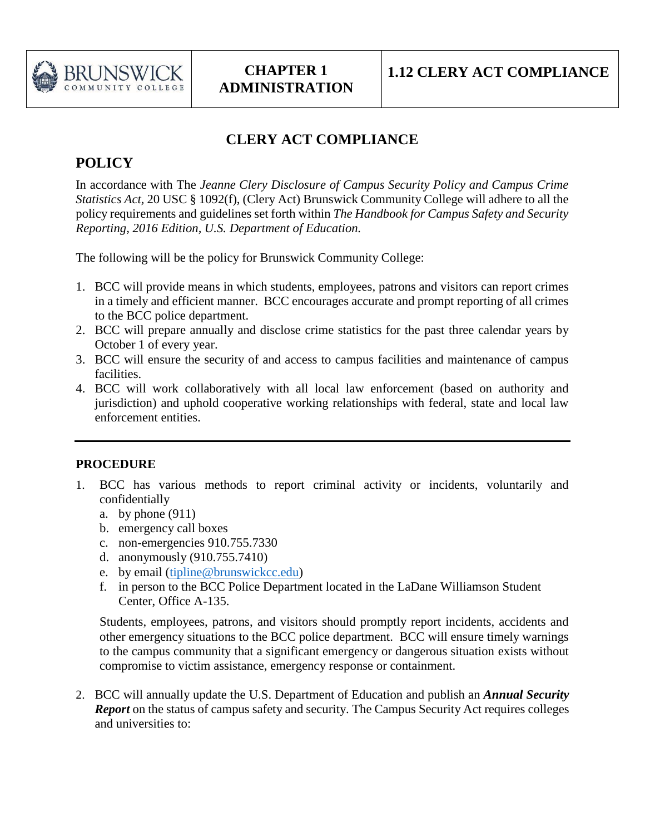

## **CLERY ACT COMPLIANCE**

## **POLICY**

In accordance with The *Jeanne Clery Disclosure of Campus Security Policy and Campus Crime Statistics Act,* 20 USC § 1092(f), (Clery Act) Brunswick Community College will adhere to all the policy requirements and guidelines set forth within *The Handbook for Campus Safety and Security Reporting, 2016 Edition, U.S. Department of Education.* 

The following will be the policy for Brunswick Community College:

- 1. BCC will provide means in which students, employees, patrons and visitors can report crimes in a timely and efficient manner. BCC encourages accurate and prompt reporting of all crimes to the BCC police department.
- 2. BCC will prepare annually and disclose crime statistics for the past three calendar years by October 1 of every year.
- 3. BCC will ensure the security of and access to campus facilities and maintenance of campus facilities.
- 4. BCC will work collaboratively with all local law enforcement (based on authority and jurisdiction) and uphold cooperative working relationships with federal, state and local law enforcement entities.

## **PROCEDURE**

- 1. BCC has various methods to report criminal activity or incidents, voluntarily and confidentially
	- a. by phone  $(911)$
	- b. emergency call boxes
	- c. non-emergencies 910.755.7330
	- d. anonymously (910.755.7410)
	- e. by email [\(tipline@brunswickcc.edu\)](mailto:tipline@brunswickcc.edu)
	- f. in person to the BCC Police Department located in the LaDane Williamson Student Center, Office A-135.

Students, employees, patrons, and visitors should promptly report incidents, accidents and other emergency situations to the BCC police department. BCC will ensure timely warnings to the campus community that a significant emergency or dangerous situation exists without compromise to victim assistance, emergency response or containment.

2. BCC will annually update the U.S. Department of Education and publish an *Annual Security Report* on the status of campus safety and security. The Campus Security Act requires colleges and universities to: